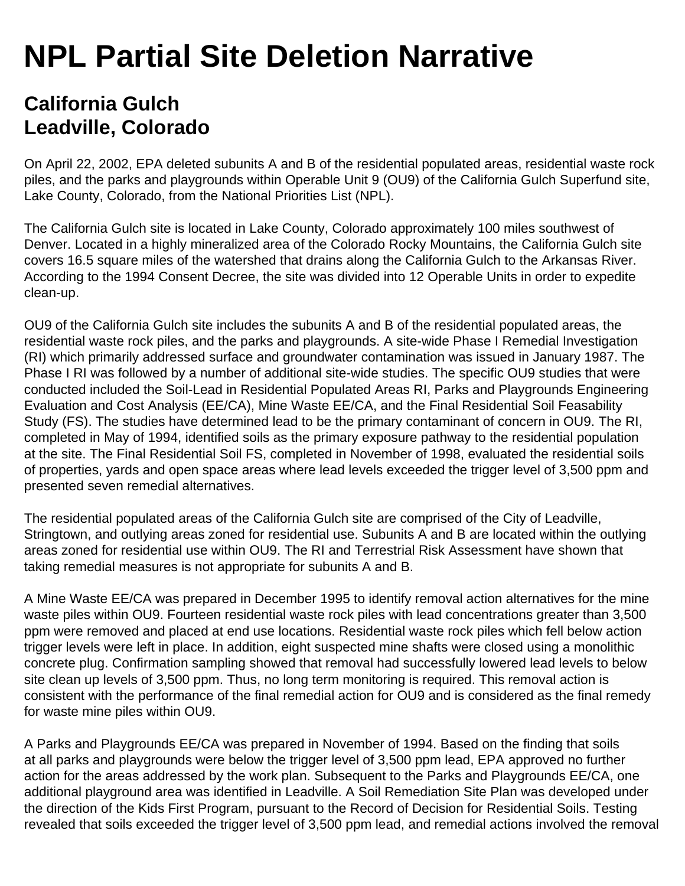## **NPL Partial Site Deletion Narrative**

## **California Gulch Leadville, Colorado**

On April 22, 2002, EPA deleted subunits A and B of the residential populated areas, residential waste rock piles, and the parks and playgrounds within Operable Unit 9 (OU9) of the California Gulch Superfund site, Lake County, Colorado, from the National Priorities List (NPL).

The California Gulch site is located in Lake County, Colorado approximately 100 miles southwest of Denver. Located in a highly mineralized area of the Colorado Rocky Mountains, the California Gulch site covers 16.5 square miles of the watershed that drains along the California Gulch to the Arkansas River. According to the 1994 Consent Decree, the site was divided into 12 Operable Units in order to expedite clean-up.

OU9 of the California Gulch site includes the subunits A and B of the residential populated areas, the residential waste rock piles, and the parks and playgrounds. A site-wide Phase I Remedial Investigation (RI) which primarily addressed surface and groundwater contamination was issued in January 1987. The Phase I RI was followed by a number of additional site-wide studies. The specific OU9 studies that were conducted included the Soil-Lead in Residential Populated Areas RI, Parks and Playgrounds Engineering Evaluation and Cost Analysis (EE/CA), Mine Waste EE/CA, and the Final Residential Soil Feasability Study (FS). The studies have determined lead to be the primary contaminant of concern in OU9. The RI, completed in May of 1994, identified soils as the primary exposure pathway to the residential population at the site. The Final Residential Soil FS, completed in November of 1998, evaluated the residential soils of properties, yards and open space areas where lead levels exceeded the trigger level of 3,500 ppm and presented seven remedial alternatives.

The residential populated areas of the California Gulch site are comprised of the City of Leadville, Stringtown, and outlying areas zoned for residential use. Subunits A and B are located within the outlying areas zoned for residential use within OU9. The RI and Terrestrial Risk Assessment have shown that taking remedial measures is not appropriate for subunits A and B.

A Mine Waste EE/CA was prepared in December 1995 to identify removal action alternatives for the mine waste piles within OU9. Fourteen residential waste rock piles with lead concentrations greater than 3,500 ppm were removed and placed at end use locations. Residential waste rock piles which fell below action trigger levels were left in place. In addition, eight suspected mine shafts were closed using a monolithic concrete plug. Confirmation sampling showed that removal had successfully lowered lead levels to below site clean up levels of 3,500 ppm. Thus, no long term monitoring is required. This removal action is consistent with the performance of the final remedial action for OU9 and is considered as the final remedy for waste mine piles within OU9.

A Parks and Playgrounds EE/CA was prepared in November of 1994. Based on the finding that soils at all parks and playgrounds were below the trigger level of 3,500 ppm lead, EPA approved no further action for the areas addressed by the work plan. Subsequent to the Parks and Playgrounds EE/CA, one additional playground area was identified in Leadville. A Soil Remediation Site Plan was developed under the direction of the Kids First Program, pursuant to the Record of Decision for Residential Soils. Testing revealed that soils exceeded the trigger level of 3,500 ppm lead, and remedial actions involved the removal